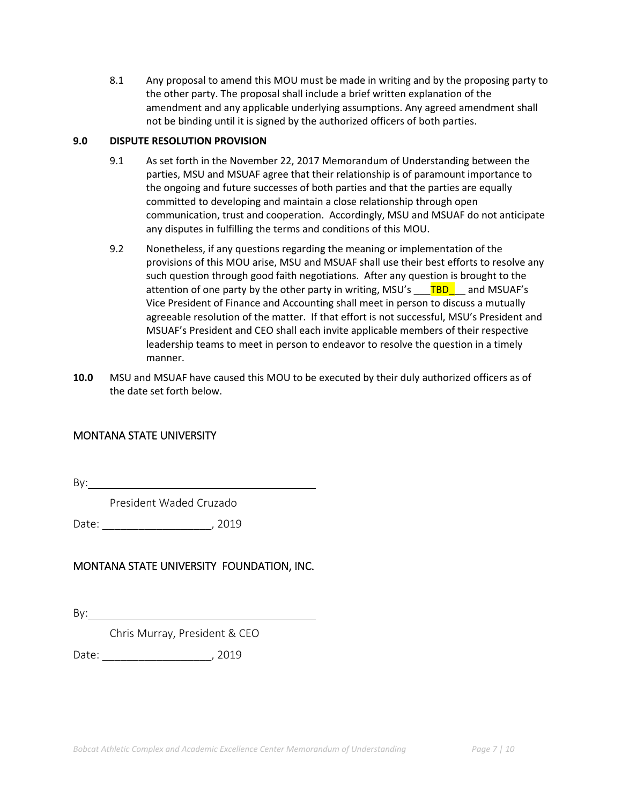8.1 Any proposal to amend this MOU must be made in writing and by the proposing party to the other party. The proposal shall include a brief written explanation of the amendment and any applicable underlying assumptions. Any agreed amendment shall not be binding until it is signed by the authorized officers of both parties.

### **9.0 DISPUTE RESOLUTION PROVISION**

- 9.1 As set forth in the November 22, 2017 Memorandum of Understanding between the parties, MSU and MSUAF agree that their relationship is of paramount importance to the ongoing and future successes of both parties and that the parties are equally committed to developing and maintain a close relationship through open communication, trust and cooperation. Accordingly, MSU and MSUAF do not anticipate any disputes in fulfilling the terms and conditions of this MOU.
- manner. 9.2 Nonetheless, if any questions regarding the meaning or implementation of the provisions of this MOU arise, MSU and MSUAF shall use their best efforts to resolve any such question through good faith negotiations. After any question is brought to the attention of one party by the other party in writing, MSU's \_\_\_TBD\_\_\_ and MSUAF's Vice President of Finance and Accounting shall meet in person to discuss a mutually agreeable resolution of the matter. If that effort is not successful, MSU's President and MSUAF's President and CEO shall each invite applicable members of their respective leadership teams to meet in person to endeavor to resolve the question in a timely
- **10.0** MSU and MSUAF have caused this MOU to be executed by their duly authorized officers as of the date set forth below.

## MONTANA STATE UNIVERSITY

By:

President Waded Cruzado

Date: \_\_\_\_\_\_\_\_\_\_\_\_\_\_\_\_\_\_, 2019

# MONTANA STATE UNIVERSITY FOUNDATION, INC.

By:

Chris Murray, President & CEO

Date: \_\_\_\_\_\_\_\_\_\_\_\_\_\_\_\_\_\_, 2019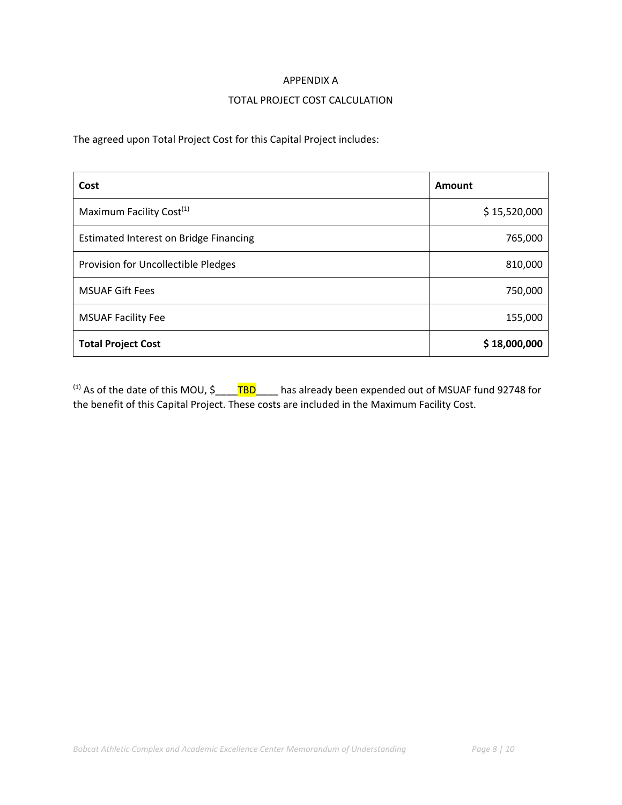#### APPENDIX A

#### TOTAL PROJECT COST CALCULATION

The agreed upon Total Project Cost for this Capital Project includes:

| Cost                                          | Amount       |
|-----------------------------------------------|--------------|
| Maximum Facility Cost <sup>(1)</sup>          | \$15,520,000 |
| <b>Estimated Interest on Bridge Financing</b> | 765,000      |
| Provision for Uncollectible Pledges           | 810,000      |
| <b>MSUAF Gift Fees</b>                        | 750,000      |
| <b>MSUAF Facility Fee</b>                     | 155,000      |
| <b>Total Project Cost</b>                     | \$18,000,000 |

 the benefit of this Capital Project. These costs are included in the Maximum Facility Cost. <sup>(1)</sup> As of the date of this MOU,  $\zeta$  \_\_\_\_\_\_\_<sup>TBD</sup>\_\_\_\_\_\_ has already been expended out of MSUAF fund 92748 for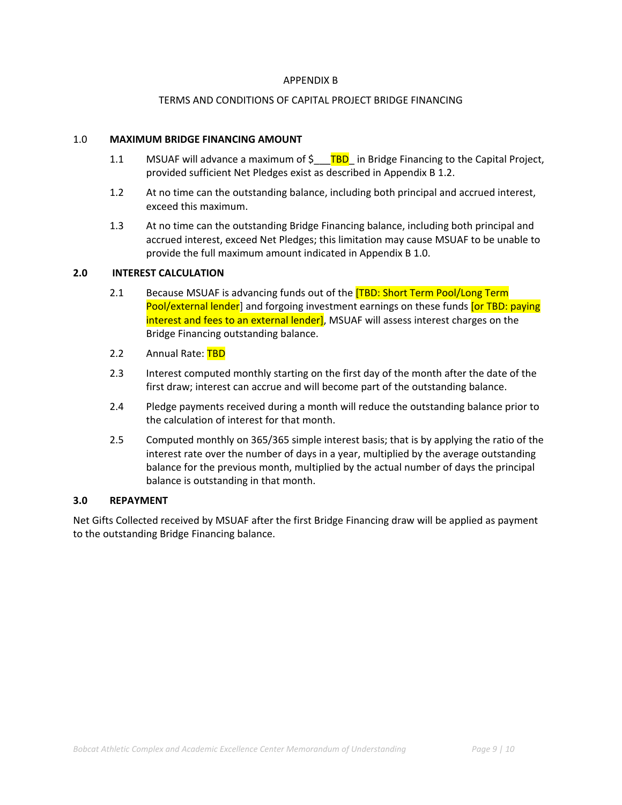#### APPENDIX B

#### TERMS AND CONDITIONS OF CAPITAL PROJECT BRIDGE FINANCING

#### 1.0 **MAXIMUM BRIDGE FINANCING AMOUNT**

- 1.1 MSUAF will advance a maximum of  $\frac{1}{2}$  TBD in Bridge Financing to the Capital Project, provided sufficient Net Pledges exist as described in Appendix B 1.2.
- 1.2 At no time can the outstanding balance, including both principal and accrued interest, exceed this maximum.
- 1.3 At no time can the outstanding Bridge Financing balance, including both principal and accrued interest, exceed Net Pledges; this limitation may cause MSUAF to be unable to provide the full maximum amount indicated in Appendix B 1.0.

#### **2.0 INTEREST CALCULATION**

- 2.1 Because MSUAF is advancing funds out of the **[TBD: Short Term Pool/Long Term** Pool/external lender] and forgoing investment earnings on these funds [or TBD: paying interest and fees to an external lender], MSUAF will assess interest charges on the Bridge Financing outstanding balance.
- 2.2 Annual Rate: TBD
- 2.3 Interest computed monthly starting on the first day of the month after the date of the first draw; interest can accrue and will become part of the outstanding balance.
- 2.4 Pledge payments received during a month will reduce the outstanding balance prior to the calculation of interest for that month.
- 2.5 Computed monthly on 365/365 simple interest basis; that is by applying the ratio of the balance is outstanding in that month. interest rate over the number of days in a year, multiplied by the average outstanding balance for the previous month, multiplied by the actual number of days the principal

#### **3.0 REPAYMENT**

Net Gifts Collected received by MSUAF after the first Bridge Financing draw will be applied as payment to the outstanding Bridge Financing balance.